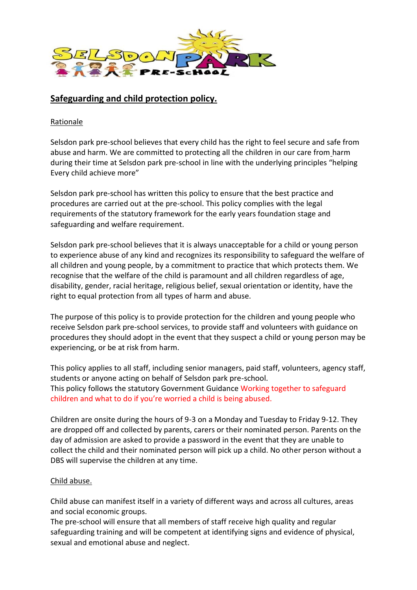

# **Safeguarding and child protection policy.**

Rationale

Selsdon park pre-school believes that every child has the right to feel secure and safe from abuse and harm. We are committed to protecting all the children in our care from harm during their time at Selsdon park pre-school in line with the underlying principles "helping Every child achieve more"

Selsdon park pre-school has written this policy to ensure that the best practice and procedures are carried out at the pre-school. This policy complies with the legal requirements of the statutory framework for the early years foundation stage and safeguarding and welfare requirement.

Selsdon park pre-school believes that it is always unacceptable for a child or young person to experience abuse of any kind and recognizes its responsibility to safeguard the welfare of all children and young people, by a commitment to practice that which protects them. We recognise that the welfare of the child is paramount and all children regardless of age, disability, gender, racial heritage, religious belief, sexual orientation or identity, have the right to equal protection from all types of harm and abuse.

The purpose of this policy is to provide protection for the children and young people who receive Selsdon park pre-school services, to provide staff and volunteers with guidance on procedures they should adopt in the event that they suspect a child or young person may be experiencing, or be at risk from harm.

This policy applies to all staff, including senior managers, paid staff, volunteers, agency staff, students or anyone acting on behalf of Selsdon park pre-school. This policy follows the statutory Government Guidance Working together to safeguard children and what to do if you're worried a child is being abused.

Children are onsite during the hours of 9-3 on a Monday and Tuesday to Friday 9-12. They are dropped off and collected by parents, carers or their nominated person. Parents on the day of admission are asked to provide a password in the event that they are unable to collect the child and their nominated person will pick up a child. No other person without a DBS will supervise the children at any time.

#### Child abuse.

Child abuse can manifest itself in a variety of different ways and across all cultures, areas and social economic groups.

The pre-school will ensure that all members of staff receive high quality and regular safeguarding training and will be competent at identifying signs and evidence of physical, sexual and emotional abuse and neglect.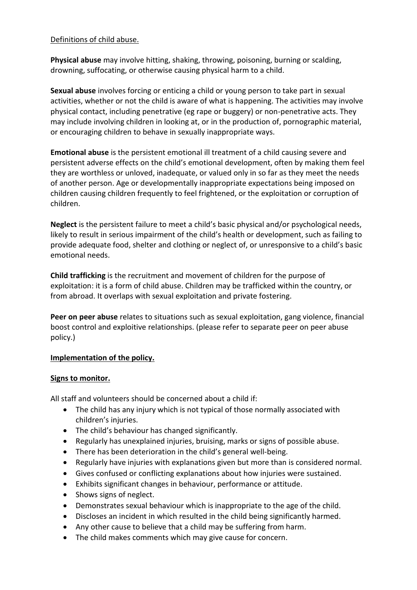### Definitions of child abuse.

**Physical abuse** may involve hitting, shaking, throwing, poisoning, burning or scalding, drowning, suffocating, or otherwise causing physical harm to a child.

**Sexual abuse** involves forcing or enticing a child or young person to take part in sexual activities, whether or not the child is aware of what is happening. The activities may involve physical contact, including penetrative (eg rape or buggery) or non-penetrative acts. They may include involving children in looking at, or in the production of, pornographic material, or encouraging children to behave in sexually inappropriate ways.

**Emotional abuse** is the persistent emotional ill treatment of a child causing severe and persistent adverse effects on the child's emotional development, often by making them feel they are worthless or unloved, inadequate, or valued only in so far as they meet the needs of another person. Age or developmentally inappropriate expectations being imposed on children causing children frequently to feel frightened, or the exploitation or corruption of children.

**Neglect** is the persistent failure to meet a child's basic physical and/or psychological needs, likely to result in serious impairment of the child's health or development, such as failing to provide adequate food, shelter and clothing or neglect of, or unresponsive to a child's basic emotional needs.

**Child trafficking** is the recruitment and movement of children for the purpose of exploitation: it is a form of child abuse. Children may be trafficked within the country, or from abroad. It overlaps with sexual exploitation and private fostering.

**Peer on peer abuse** relates to situations such as sexual exploitation, gang violence, financial boost control and exploitive relationships. (please refer to separate peer on peer abuse policy.)

#### **Implementation of the policy.**

#### **Signs to monitor.**

All staff and volunteers should be concerned about a child if:

- The child has any injury which is not typical of those normally associated with children's injuries.
- The child's behaviour has changed significantly.
- Regularly has unexplained injuries, bruising, marks or signs of possible abuse.
- There has been deterioration in the child's general well-being.
- Regularly have injuries with explanations given but more than is considered normal.
- Gives confused or conflicting explanations about how injuries were sustained.
- Exhibits significant changes in behaviour, performance or attitude.
- Shows signs of neglect.
- Demonstrates sexual behaviour which is inappropriate to the age of the child.
- Discloses an incident in which resulted in the child being significantly harmed.
- Any other cause to believe that a child may be suffering from harm.
- The child makes comments which may give cause for concern.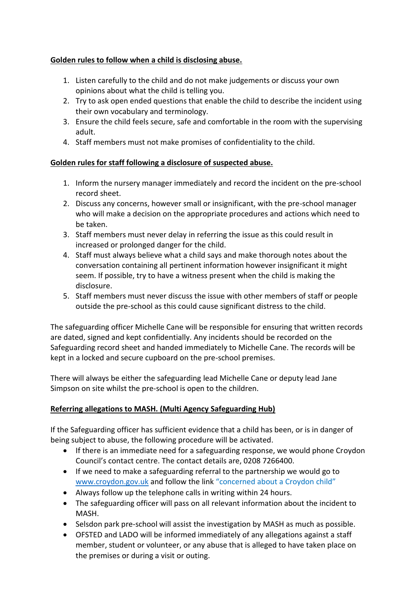### **Golden rules to follow when a child is disclosing abuse.**

- 1. Listen carefully to the child and do not make judgements or discuss your own opinions about what the child is telling you.
- 2. Try to ask open ended questions that enable the child to describe the incident using their own vocabulary and terminology.
- 3. Ensure the child feels secure, safe and comfortable in the room with the supervising adult.
- 4. Staff members must not make promises of confidentiality to the child.

#### **Golden rules for staff following a disclosure of suspected abuse.**

- 1. Inform the nursery manager immediately and record the incident on the pre-school record sheet.
- 2. Discuss any concerns, however small or insignificant, with the pre-school manager who will make a decision on the appropriate procedures and actions which need to be taken.
- 3. Staff members must never delay in referring the issue as this could result in increased or prolonged danger for the child.
- 4. Staff must always believe what a child says and make thorough notes about the conversation containing all pertinent information however insignificant it might seem. If possible, try to have a witness present when the child is making the disclosure.
- 5. Staff members must never discuss the issue with other members of staff or people outside the pre-school as this could cause significant distress to the child.

The safeguarding officer Michelle Cane will be responsible for ensuring that written records are dated, signed and kept confidentially. Any incidents should be recorded on the Safeguarding record sheet and handed immediately to Michelle Cane. The records will be kept in a locked and secure cupboard on the pre-school premises.

There will always be either the safeguarding lead Michelle Cane or deputy lead Jane Simpson on site whilst the pre-school is open to the children.

# **Referring allegations to MASH. (Multi Agency Safeguarding Hub)**

If the Safeguarding officer has sufficient evidence that a child has been, or is in danger of being subject to abuse, the following procedure will be activated.

- If there is an immediate need for a safeguarding response, we would phone Croydon Council's contact centre. The contact details are, 0208 7266400.
- If we need to make a safeguarding referral to the partnership we would go to [www.croydon.gov.uk](http://www.croydon.gov.uk/) and follow the link "concerned about a Croydon child"
- Always follow up the telephone calls in writing within 24 hours.
- The safeguarding officer will pass on all relevant information about the incident to MASH.
- Selsdon park pre-school will assist the investigation by MASH as much as possible.
- OFSTED and LADO will be informed immediately of any allegations against a staff member, student or volunteer, or any abuse that is alleged to have taken place on the premises or during a visit or outing.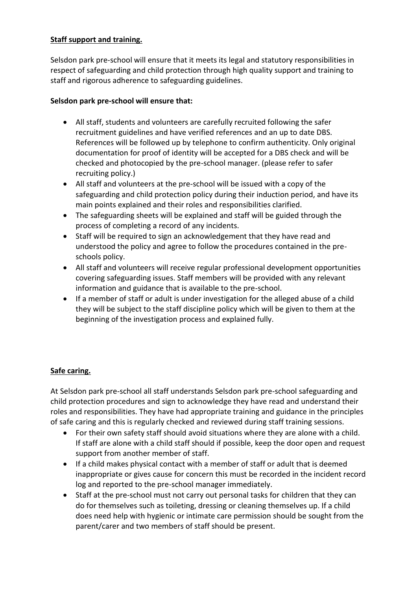### **Staff support and training.**

Selsdon park pre-school will ensure that it meets its legal and statutory responsibilities in respect of safeguarding and child protection through high quality support and training to staff and rigorous adherence to safeguarding guidelines.

### **Selsdon park pre-school will ensure that:**

- All staff, students and volunteers are carefully recruited following the safer recruitment guidelines and have verified references and an up to date DBS. References will be followed up by telephone to confirm authenticity. Only original documentation for proof of identity will be accepted for a DBS check and will be checked and photocopied by the pre-school manager. (please refer to safer recruiting policy.)
- All staff and volunteers at the pre-school will be issued with a copy of the safeguarding and child protection policy during their induction period, and have its main points explained and their roles and responsibilities clarified.
- The safeguarding sheets will be explained and staff will be guided through the process of completing a record of any incidents.
- Staff will be required to sign an acknowledgement that they have read and understood the policy and agree to follow the procedures contained in the preschools policy.
- All staff and volunteers will receive regular professional development opportunities covering safeguarding issues. Staff members will be provided with any relevant information and guidance that is available to the pre-school.
- If a member of staff or adult is under investigation for the alleged abuse of a child they will be subject to the staff discipline policy which will be given to them at the beginning of the investigation process and explained fully.

# **Safe caring.**

At Selsdon park pre-school all staff understands Selsdon park pre-school safeguarding and child protection procedures and sign to acknowledge they have read and understand their roles and responsibilities. They have had appropriate training and guidance in the principles of safe caring and this is regularly checked and reviewed during staff training sessions.

- For their own safety staff should avoid situations where they are alone with a child. If staff are alone with a child staff should if possible, keep the door open and request support from another member of staff.
- If a child makes physical contact with a member of staff or adult that is deemed inappropriate or gives cause for concern this must be recorded in the incident record log and reported to the pre-school manager immediately.
- Staff at the pre-school must not carry out personal tasks for children that they can do for themselves such as toileting, dressing or cleaning themselves up. If a child does need help with hygienic or intimate care permission should be sought from the parent/carer and two members of staff should be present.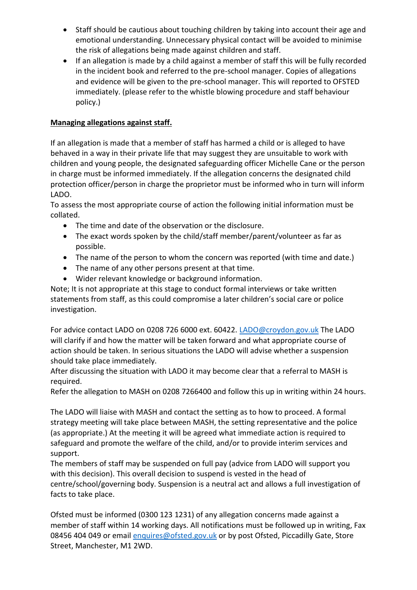- Staff should be cautious about touching children by taking into account their age and emotional understanding. Unnecessary physical contact will be avoided to minimise the risk of allegations being made against children and staff.
- If an allegation is made by a child against a member of staff this will be fully recorded in the incident book and referred to the pre-school manager. Copies of allegations and evidence will be given to the pre-school manager. This will reported to OFSTED immediately. (please refer to the whistle blowing procedure and staff behaviour policy.)

# **Managing allegations against staff.**

If an allegation is made that a member of staff has harmed a child or is alleged to have behaved in a way in their private life that may suggest they are unsuitable to work with children and young people, the designated safeguarding officer Michelle Cane or the person in charge must be informed immediately. If the allegation concerns the designated child protection officer/person in charge the proprietor must be informed who in turn will inform LADO.

To assess the most appropriate course of action the following initial information must be collated.

- The time and date of the observation or the disclosure.
- The exact words spoken by the child/staff member/parent/volunteer as far as possible.
- The name of the person to whom the concern was reported (with time and date.)
- The name of any other persons present at that time.
- Wider relevant knowledge or background information.

Note; It is not appropriate at this stage to conduct formal interviews or take written statements from staff, as this could compromise a later children's social care or police investigation.

For advice contact LADO on 0208 726 6000 ext. 60422. [LADO@croydon.gov.uk](mailto:LADO@croydon.gov.uk) The LADO will clarify if and how the matter will be taken forward and what appropriate course of action should be taken. In serious situations the LADO will advise whether a suspension should take place immediately.

After discussing the situation with LADO it may become clear that a referral to MASH is required.

Refer the allegation to MASH on 0208 7266400 and follow this up in writing within 24 hours.

The LADO will liaise with MASH and contact the setting as to how to proceed. A formal strategy meeting will take place between MASH, the setting representative and the police (as appropriate.) At the meeting it will be agreed what immediate action is required to safeguard and promote the welfare of the child, and/or to provide interim services and support.

The members of staff may be suspended on full pay (advice from LADO will support you with this decision). This overall decision to suspend is vested in the head of centre/school/governing body. Suspension is a neutral act and allows a full investigation of facts to take place.

Ofsted must be informed (0300 123 1231) of any allegation concerns made against a member of staff within 14 working days. All notifications must be followed up in writing, Fax 08456 404 049 or email [enquires@ofsted.gov.uk](mailto:enquires@ofsted.gov.uk) or by post Ofsted, Piccadilly Gate, Store Street, Manchester, M1 2WD.